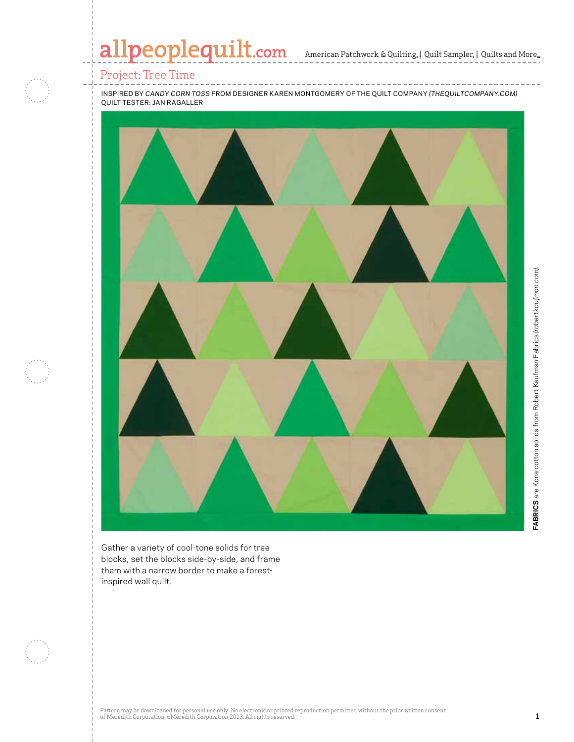# allpeoplequilt.com American Patchwork & Quilting, | Quilt Sampler, | Quilts and More...

### Project: Tree Time

inspired by *candy corn toss* from designer karen montgomery of the quilt company *(thequiltcompany.com)* quilt tester: jan ragaller



Gather a variety of cool-tone solids for tree blocks, set the blocks side-by-side, and frame them with a narrow border to make a forestinspired wall quilt.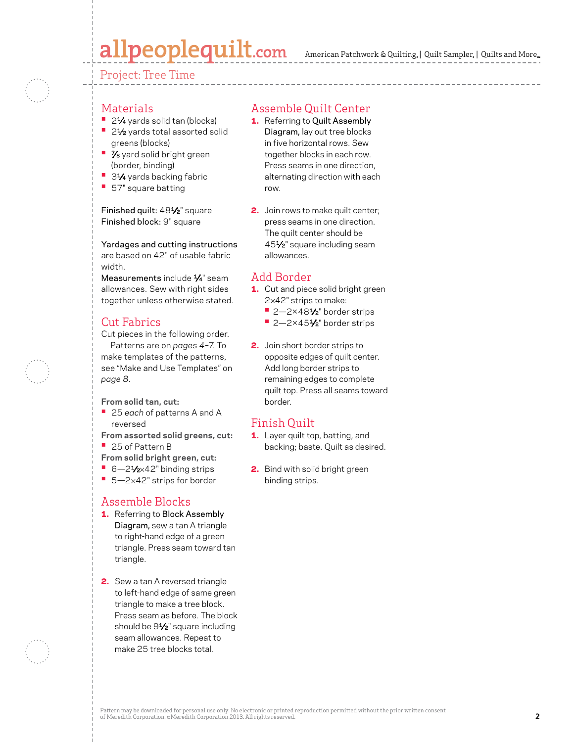# allpeoplequilt.com

Project: Tree Time

#### **Materials**

- 21⁄4 yards solid tan (blocks)
- 21⁄2 yards total assorted solid greens (blocks)
- **•** 7⁄8 yard solid bright green (border, binding)
- 31⁄4 yards backing fabric
- **•** 57" square batting

#### Finished quilt: 481⁄2" square Finished block: 9" square

Yardages and cutting instructions are based on 42" of usable fabric width.

Measurements include 1/4" seam allowances. Sew with right sides together unless otherwise stated.

### Cut Fabrics

Cut pieces in the following order.

Patterns are on *pages 4–7*. To make templates of the patterns, see "Make and Use Templates" on *page 8*.

- **From solid tan, cut:**
- **•** <sup>25</sup>*each* of patterns A and A reversed
- **From assorted solid greens, cut: •** 25 of Pattern B
- **From solid bright green, cut:**
- 6-21⁄2×42" binding strips
- 5-2×42" strips for border

### Assemble Blocks

- 1. Referring to Block Assembly Diagram, sew a tan A triangle to right-hand edge of a green triangle. Press seam toward tan triangle.
- 2. Sew a tan A reversed triangle to left-hand edge of same green triangle to make a tree block. Press seam as before. The block should be 9<sup>1/2"</sup> square including seam allowances. Repeat to make 25 tree blocks total.

### Assemble Quilt Center

- 1. Referring to Quilt Assembly Diagram, lay out tree blocks in five horizontal rows. Sew together blocks in each row. Press seams in one direction, alternating direction with each row.
- 2. Join rows to make quilt center; press seams in one direction. The quilt center should be 451⁄2" square including seam allowances.

#### Add Border

- 1. Cut and piece solid bright green 2×42" strips to make:
	- 2–2×48<sup>1</sup>⁄<sub>2</sub>" border strips
	- 2-2×451⁄2" border strips
- 2. Join short border strips to opposite edges of quilt center. Add long border strips to remaining edges to complete quilt top. Press all seams toward border.

### Finish Quilt

- 1. Layer quilt top, batting, and backing; baste. Quilt as desired.
- 2. Bind with solid bright green binding strips.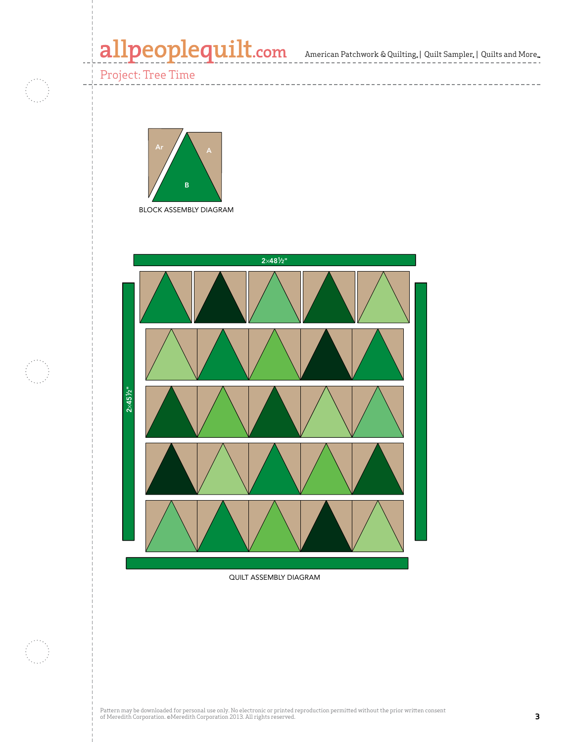# allpeoplequilt.com<br>american Patchwork & Quilting, | Quilt Sampler, | Quilts and More..

--------------------

Project: Tree Time

C)



2×481 ⁄2"



QUILT ASSEMBLY DIAGRAM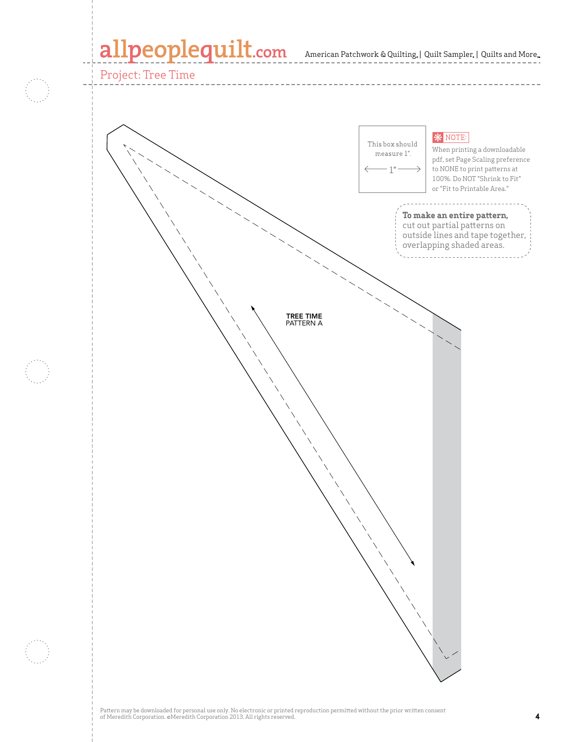# allpeoplequilt.com American Patchwork & Quilting. | Quilt Sampler. | Quilts and More..

Project: Tree Time

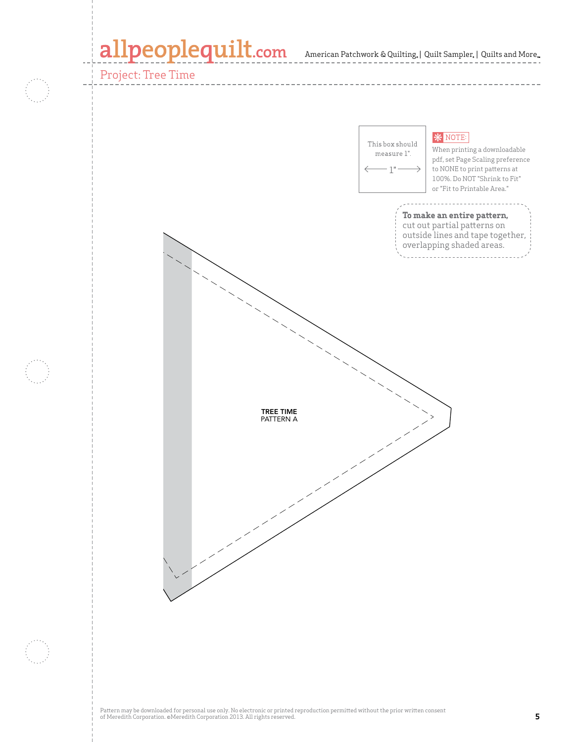# allpeoplequilt.com American Patchwork & Quilting. | Quilt Sampler. | Quilts and More..

### Project: Tree Time

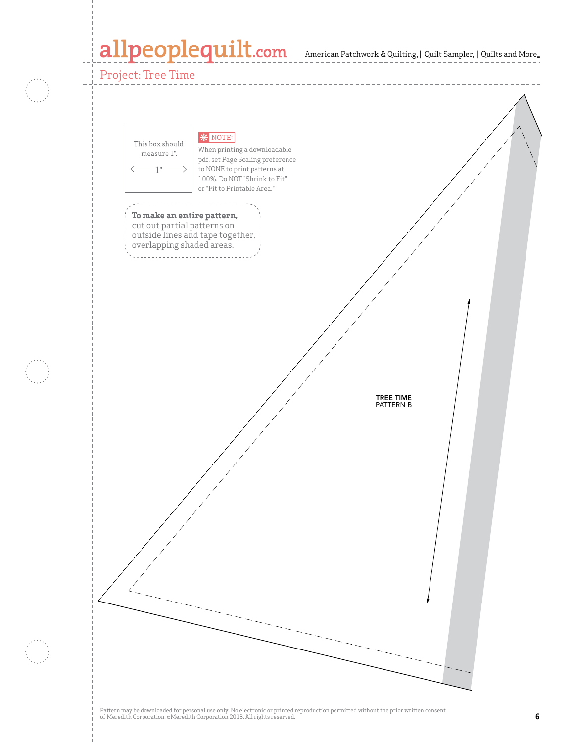# allpeoplequilt.com American Patchwork & Quilting. | Quilt Sampler. | Quilts and More..

Project: Tree Time

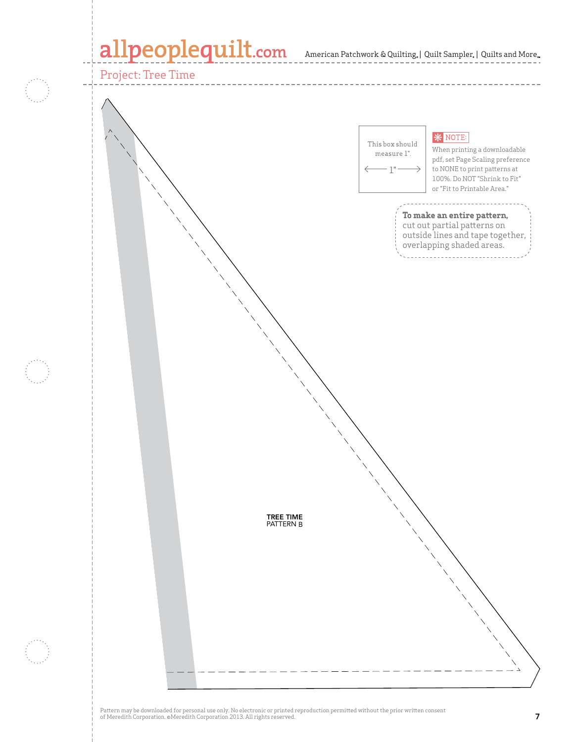### allpeoplequilt.com American Patchwork & Quilting, | Quilt Sampler, | Quilts and More..



Pattern may be downloaded for personal use only. No electronic or printed reproduction permitted without the prior written consent of Meredith Corporation. ©Meredith Corporation 2013. All rights reserved. **7**